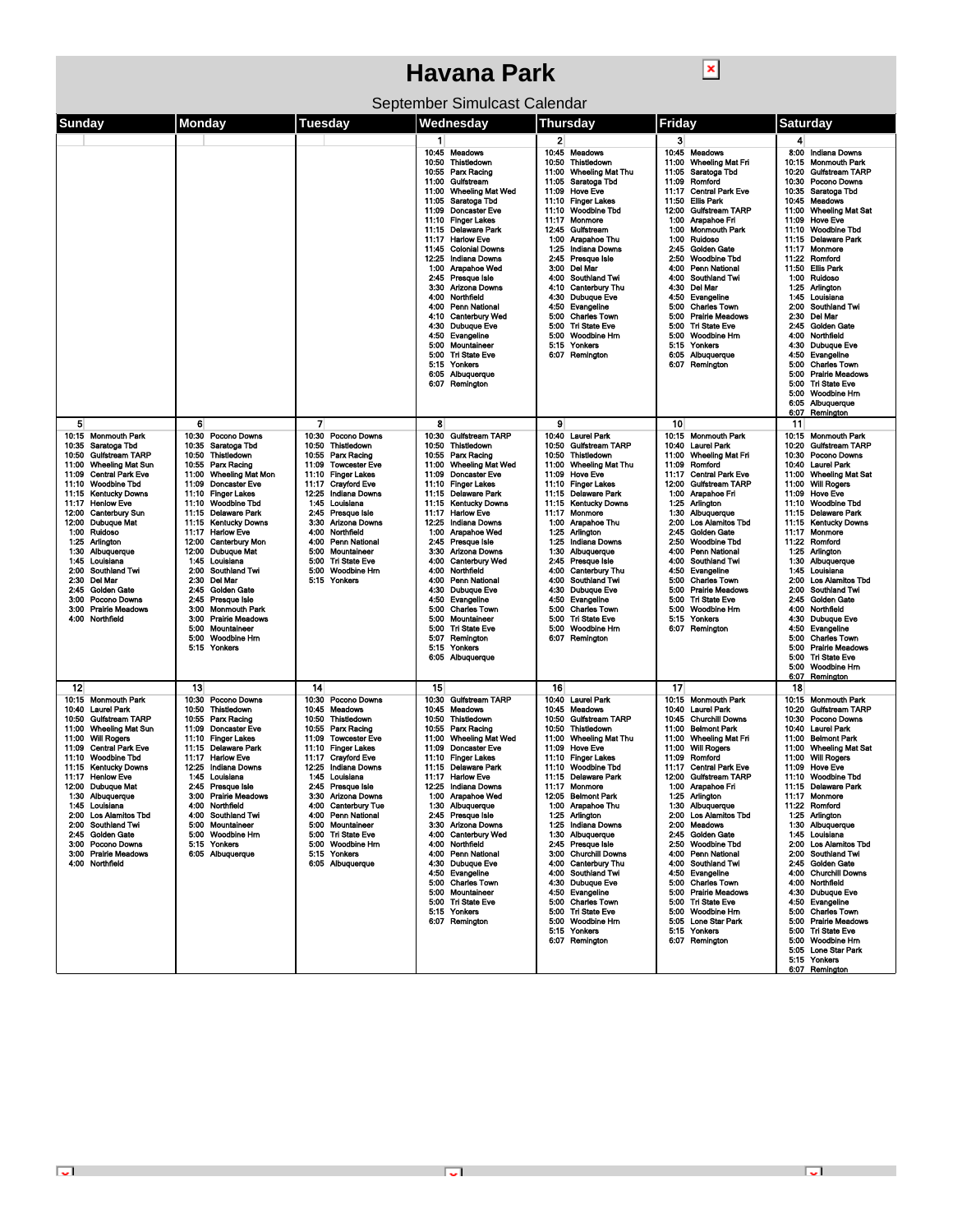| ×<br><b>Havana Park</b>                                                                                                                                                                                                                                                                                                                                                                                                                                                                                                        |                                                                                                                                                                                                                                                                                                                                                                                                                                                                                                                                       |                                                                                                                                                                                                                                                                                                                                                                                                                                               |                                                                                                                                                                                                                                                                                                                                                                                                                                                                                                                                                                                                                       |                                                                                                                                                                                                                                                                                                                                                                                                                                                                                                                                                                                                                     |                                                                                                                                                                                                                                                                                                                                                                                                                                                                                                                                                                                      |                                                                                                                                                                                                                                                                                                                                                                                                                                                                                                                                                                                                                                                                                                                                                               |  |  |  |  |
|--------------------------------------------------------------------------------------------------------------------------------------------------------------------------------------------------------------------------------------------------------------------------------------------------------------------------------------------------------------------------------------------------------------------------------------------------------------------------------------------------------------------------------|---------------------------------------------------------------------------------------------------------------------------------------------------------------------------------------------------------------------------------------------------------------------------------------------------------------------------------------------------------------------------------------------------------------------------------------------------------------------------------------------------------------------------------------|-----------------------------------------------------------------------------------------------------------------------------------------------------------------------------------------------------------------------------------------------------------------------------------------------------------------------------------------------------------------------------------------------------------------------------------------------|-----------------------------------------------------------------------------------------------------------------------------------------------------------------------------------------------------------------------------------------------------------------------------------------------------------------------------------------------------------------------------------------------------------------------------------------------------------------------------------------------------------------------------------------------------------------------------------------------------------------------|---------------------------------------------------------------------------------------------------------------------------------------------------------------------------------------------------------------------------------------------------------------------------------------------------------------------------------------------------------------------------------------------------------------------------------------------------------------------------------------------------------------------------------------------------------------------------------------------------------------------|--------------------------------------------------------------------------------------------------------------------------------------------------------------------------------------------------------------------------------------------------------------------------------------------------------------------------------------------------------------------------------------------------------------------------------------------------------------------------------------------------------------------------------------------------------------------------------------|---------------------------------------------------------------------------------------------------------------------------------------------------------------------------------------------------------------------------------------------------------------------------------------------------------------------------------------------------------------------------------------------------------------------------------------------------------------------------------------------------------------------------------------------------------------------------------------------------------------------------------------------------------------------------------------------------------------------------------------------------------------|--|--|--|--|
| September Simulcast Calendar                                                                                                                                                                                                                                                                                                                                                                                                                                                                                                   |                                                                                                                                                                                                                                                                                                                                                                                                                                                                                                                                       |                                                                                                                                                                                                                                                                                                                                                                                                                                               |                                                                                                                                                                                                                                                                                                                                                                                                                                                                                                                                                                                                                       |                                                                                                                                                                                                                                                                                                                                                                                                                                                                                                                                                                                                                     |                                                                                                                                                                                                                                                                                                                                                                                                                                                                                                                                                                                      |                                                                                                                                                                                                                                                                                                                                                                                                                                                                                                                                                                                                                                                                                                                                                               |  |  |  |  |
| Sunday                                                                                                                                                                                                                                                                                                                                                                                                                                                                                                                         | Monday                                                                                                                                                                                                                                                                                                                                                                                                                                                                                                                                | Tuesday                                                                                                                                                                                                                                                                                                                                                                                                                                       | Wednesday                                                                                                                                                                                                                                                                                                                                                                                                                                                                                                                                                                                                             | <b>Thursday</b>                                                                                                                                                                                                                                                                                                                                                                                                                                                                                                                                                                                                     | Friday                                                                                                                                                                                                                                                                                                                                                                                                                                                                                                                                                                               | <b>Saturday</b>                                                                                                                                                                                                                                                                                                                                                                                                                                                                                                                                                                                                                                                                                                                                               |  |  |  |  |
|                                                                                                                                                                                                                                                                                                                                                                                                                                                                                                                                |                                                                                                                                                                                                                                                                                                                                                                                                                                                                                                                                       |                                                                                                                                                                                                                                                                                                                                                                                                                                               | 1.<br>10:45 Meadows<br>Thistledown<br>10:50<br>10:55 Parx Racing<br>11:00<br>Gulfstream<br><b>Wheeling Mat Wed</b><br>11:00<br>11:05<br>Saratoga Tbd<br>11:09<br><b>Doncaster Eve</b><br>11:10 Finger Lakes<br>11:15 Delaware Park<br>11:17 Harlow Eve<br><b>Colonial Downs</b><br>11:45<br>12:25<br>Indiana Downs<br>1:00<br>Arapahoe Wed<br>2:45 Presque Isle<br>3:30 Arizona Downs<br>4:00<br>Northfield<br><b>Penn National</b><br>4:00<br>4:10 Canterbury Wed<br>4:30 Dubuque Eve<br>4:50<br>Evangeline<br>5:00 Mountaineer<br>5:00 Tri State Eve<br>5:15 Yonkers<br>6:05 Albuquerque<br>6:07 Remington          | 2<br>10:45<br>Meadows<br>Thistiedown<br>10:50<br><b>Wheeling Mat Thu</b><br>11:00<br>Saratoga Tbd<br>11:05<br><b>Hove Eve</b><br>11:09<br><b>Finger Lakes</b><br>11:10<br>11:10<br>Woodbine Tbd<br>Monmore<br>11:17<br>12:45<br>Gulfstream<br>1:00<br>Arapahoe Thu<br>1:25<br><b>Indiana Downs</b><br>2:45<br>Presque Isle<br>Del Mar<br>3:00<br>4:00<br><b>Southland Twi</b><br>4:10<br><b>Canterbury Thu</b><br><b>Dubuque Eve</b><br>4:30<br>Evangeline<br>4:50<br>5:00<br><b>Charles Town</b><br>5:00<br><b>Tri State Eve</b><br>5:00<br>Woodbine Hm<br>5:15<br>Yonkers<br>6:07 Remington                       | 3<br>10:45 Meadows<br><b>Wheeling Mat Fri</b><br>11:00<br>Saratoga Tbd<br>11:05<br>Romford<br>11:09<br>11:17<br><b>Central Park Eve</b><br>11:50<br>Ellis Park<br>12:00<br>Gulfstream TARP<br>Arapahoe Fri<br>1:00<br><b>Monmouth Park</b><br>1:00<br>1:00<br>Ruidoso<br><b>Golden Gate</b><br>2:45<br>Woodbine Tbd<br>2:50<br><b>Penn National</b><br>4:00<br>4:00<br>Southland Twi<br>4:30<br>Del Mar<br>Evangeline<br>4:50<br>5:00 Charles Town<br>5:00<br><b>Prairie Meadows</b><br>5:00 Tri State Eve<br>5:00 Woodbine Hm<br>5.15 Yonkers<br>6:05 Albuquerque<br>6:07 Remington | 4<br>8:00 Indiana Downs<br>10:15<br><b>Monmouth Park</b><br>10:20<br><b>Gulfstream TARP</b><br>10:30<br>Pocono Downs<br>10:35<br>Saratoga Tbd<br>10:45<br><b>Meadows</b><br>11:00<br><b>Wheeling Mat Sat</b><br>11:09<br><b>Hove Eve</b><br><b>Woodbine Tbd</b><br>11:10<br>11:15<br>Delaware Park<br>11:17<br>Monmore<br>11:22<br>Romford<br>11:50<br><b>Ellis Park</b><br>1:00<br>Ruidoso<br>1:25<br>Arlington<br>Louisiana<br>1:45<br><b>Southland Twi</b><br>2:00<br>2:30<br>Del Mar<br>2:45<br><b>Golden Gate</b><br>4:00<br>Northfield<br>4:30<br>Dubuque Eve<br>4:50<br>Evangeline<br>5.00<br><b>Charles Town</b><br>5:00<br><b>Prairie Meadows</b><br><b>Tri State Eve</b><br>5:00<br>Woodbine Hm<br>5:00<br>Albuquerque<br>6:05<br>6:07<br>Remington |  |  |  |  |
| 5<br>10:15 Monmouth Park<br>10:35 Saratoga Tbd<br><b>Guifstream TARP</b><br>10:50<br>11:00<br><b>Wheeling Mat Sun</b><br>11:09<br><b>Central Park Eve</b><br>11:10 Woodbine Tbd<br>11:15 Kentucky Downs<br>11:17 Henlow Eve<br>12:00<br><b>Canterbury Sun</b><br>12:00 Dubuque Mat<br>1:00 Ruidoso<br>1:25 Arlington<br>1:30<br>Albuquerque<br>Louisiana<br>1:45<br>Southland Twi<br>2:00<br><b>Del Mar</b><br>2:30<br><b>Golden Gate</b><br>2:45<br>Pocono Downs<br>3:00<br><b>Prairie Meadows</b><br>3:00<br>4:00 Northfield | 6<br>10:30 Pocono Downs<br>10:35 Saratoga Tbd<br>10:50 Thistledown<br>10.55 Parx Racing<br>11:00 Wheeling Mat Mon<br>11:09 Doncaster Eve<br>11:10 Finger Lakes<br>11:10 Woodbine Tbd<br>11:15 Delaware Park<br>11:15 Kentucky Downs<br>11:17 Harlow Eve<br>12:00 Canterbury Mon<br>12:00 Dubuque Mat<br>1:45 Louisiana<br>2:00 Southland Twi<br>2:30 Del Mar<br>2:45 Golden Gate<br>2:45 Presque Isle<br><b>Monmouth Park</b><br>3:00<br>3:00<br><b>Prairie Meadows</b><br>5:00<br>Mountaineer<br>Woodbine Hm<br>5:00<br>5:15 Yonkers | $\overline{7}$<br>10:30<br>Pocono Downs<br>Thistledown<br>10:50<br>Parx Racing<br>10:55<br>11:09<br><b>Towcester Eve</b><br>11:10 Finger Lakes<br><b>Crayford Eve</b><br>11:17<br>12:25<br><b>Indiana Downs</b><br>1:45 Louisiana<br>2:45<br>Presque Isle<br><b>Arizona Downs</b><br>3:30<br>Northfield<br>4:00<br>4:00<br>Penn National<br>5:00<br>Mountaineer<br>5:00<br><b>Tri State Eve</b><br>5:00<br><b>Woodbine Hm</b><br>5.15 Yonkers | 8<br>10:30 Gulfstream TARP<br>10:50 Thistledown<br>10:55 Parx Racing<br>11:00 Wheeling Mat Wed<br>11:09 Doncaster Eve<br>11:10 Finger Lakes<br>11:15 Delaware Park<br><b>Kentucky Downs</b><br>11:15<br><b>Harlow Eve</b><br>11:17<br>12:25<br>Indiana Downs<br>1:00 Arapahoe Wed<br>2:45 Presque Isle<br>3:30<br>Arizona Downs<br><b>Canterbury Wed</b><br>4:00<br>4:00<br>Northfield<br><b>Penn National</b><br>4:00<br>Dubuque Eve<br>4:30<br>4:50<br>Evangeline<br>5:00<br><b>Charles Town</b><br>5:00<br>Mountaineer<br>5:00<br><b>Tri State Eve</b><br>Remington<br>5:07<br>5:15<br>Yonkers<br>6:05 Albuquerque | 9<br>10:40<br><b>Laurel Park</b><br><b>Gulfstream TARP</b><br>10:50<br>10:50<br>Thistiedown<br><b>Wheeling Mat Thu</b><br>11:00<br>11:09<br><b>Hove Eve</b><br>11:10 Finger Lakes<br>11:15 Delaware Park<br>11:15 Kentucky Downs<br>11:17 Monmore<br>1:00 Arapahoe Thu<br>1:25 Arlington<br>1:25<br>Indiana Downs<br>1:30<br>Albuquerque<br>Presque Isle<br>2:45<br>Canterbury Thu<br>4:00<br><b>Southland Twi</b><br>4:00<br>4:30<br><b>Dubuque Eve</b><br>Evangeline<br>4:50<br><b>Charles Town</b><br>5:00<br>5:00<br><b>Tri State Eve</b><br>5:00<br>Woodbine Hm<br>6.07 Remington                              | 10<br>10:15 Monmouth Park<br>10:40<br>Laurel Park<br>Wheeling Mat Fri<br>11:00<br>11:09<br>Romford<br>11:17<br><b>Central Park Eve</b><br>12:00 Gulfstream TARP<br>1:00 Arapahoe Fri<br>1:25 Arlington<br>1:30 Albuquerque<br>2:00 Los Alamitos Tbd<br>2:45 Golden Gate<br>2.50 Woodbine Tbd<br>4:00 Penn National<br>4:00 Southland Twi<br>4:50 Evangeline<br>5:00 Charles Town<br>5:00 Prairie Meadows<br>5:00 Tri State Eve<br>5:00 Woodbine Hm<br>5.15 Yonkers<br>6:07 Remington                                                                                                 | 11<br>10:15 Monmouth Park<br>Gulfstream TARP<br>10:20<br>10:30<br>Pocono Downs<br>10:40<br>Laurel Park<br>11:00<br><b>Wheeling Mat Sat</b><br>11:00 Will Rogers<br>11:09 Hove Eve<br>11:10<br><b>Woodbine Tbd</b><br>11:15 Delaware Park<br>11:15<br><b>Kentucky Downs</b><br>11:17<br>Monmore<br>11:22 Romford<br>1:25<br><b>Arlington</b><br>Albuquerque<br>1:30<br>Louisiana<br>1:45<br><b>Los Alamitos Tbd</b><br>2:00<br>Southland Twi<br>2:00<br>Golden Gate<br>2:45<br>4:00<br>Northfield<br>4:30<br><b>Dubuque Eve</b><br>4:50<br>Evangeline<br><b>Charles Town</b><br>5:00<br>5:00<br><b>Prairie Meadows</b><br><b>Tri State Eve</b><br>5:00<br>5:00<br><b>Woodbine Hm</b><br>6:07<br>Reminaton                                                      |  |  |  |  |
| 12<br>10:15 Monmouth Park<br>10:40 Laurel Park<br><b>Gulfstream TARP</b><br>10:50<br>11:00 Wheeling Mat Sun<br>11:00 Will Rogers<br>11:09 Central Park Eve<br>11:10 Woodbine Tbd<br>11:15 Kentucky Downs<br>11:17 Henlow Eve<br>12:00 Dubuque Mat<br>1:30 Albuquerque<br>1:45 Louisiana<br>2:00 Los Alamitos Tbd<br>2:00 Southland Twi<br>2:45 Golden Gate<br>3:00 Pocono Downs<br>3:00 Prairie Meadows<br>4:00 Northfield                                                                                                     | 13<br>10:30 Pocono Downs<br>10:50 Thistledown<br>10.55 Parx Racing<br>11:09 Doncaster Eve<br>11:10 Finger Lakes<br>11:15 Delaware Park<br>11:17<br><b>Harlow Eve</b><br>12:25 Indiana Downs<br>1:45 Louisiana<br>2:45 Presque Isle<br>3:00 Prairie Meadows<br>4:00 Northfield<br>4:00 Southland Twi<br>5:00 Mountaineer<br>5:00 Woodbine Hm<br>5:15 Yonkers<br>6.05 Albuquerque                                                                                                                                                       | 14<br>10:30<br>Pocono Downs<br>10:45<br><b>Meadows</b><br>Thistledown<br>10:50<br>10:55<br>Parx Racing<br>11:09 Towcester Eve<br>11:10 Finger Lakes<br>11:17 Crayford Eve<br>12:25 Indiana Downs<br>1:45 Louisiana<br>2:45 Presque Isle<br>3:30 Arizona Downs<br>4:00 Canterbury Tue<br>4:00 Penn National<br>5:00 Mountaineer<br>5:00 Tri State Eve<br>Woodbine Hm<br>5:00<br>5.15 Yonkers<br>6:05 Albuquerque                               | 15<br>10:30 Gulfstream TARP<br>10:45 Meadows<br>10:50 Thistledown<br>10:55 Parx Racing<br>11:00 Wheeling Mat Wed<br>11:09 Doncaster Eve<br>11:10 Finger Lakes<br>11:15 Delaware Park<br>11:17 Harlow Eve<br>12:25 Indiana Downs<br>1:00 Arapahoe Wed<br>1:30 Albuquerque<br>2:45 Presque Isle<br>3:30 Arizona Downs<br>4:00 Canterbury Wed<br>4:00 Northfield<br>4:00 Penn National<br>4:30 Dubuque Eve<br>4:50 Evangeline<br>5:00 Charles Town<br>5:00 Mountaineer<br>5:00 Tri State Eve<br>5:15 Yonkers<br>6:07 Remington                                                                                           | 16<br>10:40 Laurel Park<br><b>Meadows</b><br>10:45<br><b>Gulfstream TARP</b><br>10:50<br>10:50<br>Thistiedown<br>11:00 Wheeling Mat Thu<br>11:09 Hove Eve<br>11:10 Finger Lakes<br>11:10 Woodbine Tbd<br>11:15 Delaware Park<br>11:17 Monmore<br>12:05 Belmont Park<br>1:00 Arapahoe Thu<br>1.25 Arlington<br>1:25 Indiana Downs<br>1:30 Albuquerque<br>2:45 Presque Isle<br>3:00 Churchill Downs<br>4:00 Canterbury Thu<br><b>Southland Twi</b><br>4:00<br>4:30<br><b>Dubuque Eve</b><br>Evangeline<br>4.50<br>5:00 Charles Town<br>5:00 Tri State Eve<br>Woodbine Hm<br>5:00<br>5:15<br>Yonkers<br>6:07 Remington | 17<br>10:15 Monmouth Park<br>10:40 Laurel Park<br>10:45 Churchill Downs<br>11:00 Belmont Park<br>11:00 Wheeling Mat Fri<br>11:00 Will Rogers<br>11:09 Romford<br>11:17 Central Park Eve<br>12:00 Gulfstream TARP<br>1:00 Arapahoe Fri<br>1:25 Arlington<br>1:30 Albuquerque<br>2:00 Los Alamitos Tbd<br>2:00 Meadows<br>2:45 Golden Gate<br>2:50 Woodbine Tbd<br>4:00 Penn National<br>4:00 Southland Twi<br>4:50 Evangeline<br>5:00 Charles Town<br>5:00 Prairie Meadows<br>5:00 Tri State Eve<br>5:00 Woodbine Hm<br>5:05 Lone Star Park<br>5:15 Yonkers<br>6:07 Remington         | 18<br>10:15 Monmouth Park<br>10:20<br>Gulfstream TARP<br>10:30<br>Pocono Downs<br>10:40 Laurel Park<br>11:00 Belmont Park<br>11:00 Wheeling Mat Sat<br>11:00 Will Rogers<br>11:09 Hove Eve<br>11:10 Woodbine Tbd<br>11:15 Delaware Park<br>11:17 Monmore<br>11:22 Romford<br>1:25 Arlington<br>1:30 Albuquerque<br>1:45 Louisiana<br>2:00 Los Alamitos Tbd<br>2:00 Southland Twi<br>2:45 Golden Gate<br>4:00 Churchill Downs<br>4:00<br>Northfield<br><b>Dubuque Eve</b><br>4:30<br>Evangeline<br>4:50<br><b>Charles Town</b><br>5:00<br><b>Prairie Meadows</b><br>5:00<br>5:00 Tri State Eve<br>5:00 Woodbine Hm<br>5:05 Lone Star Park<br>5:15 Yonkers<br>6:07 Remington                                                                                    |  |  |  |  |